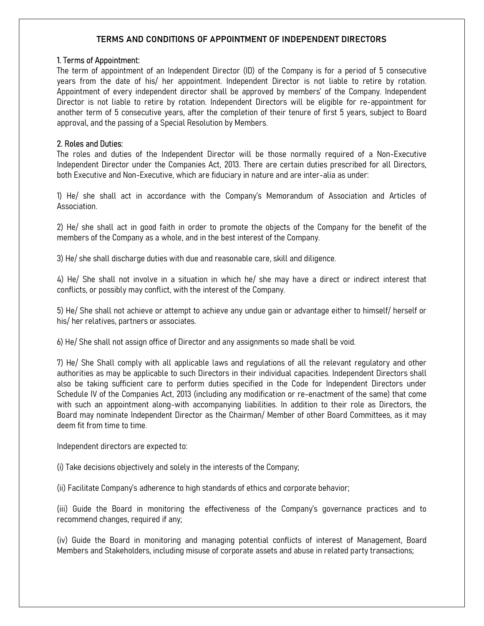# TERMS AND CONDITIONS OF APPOINTMENT OF INDEPENDENT DIRECTORS

#### 1. Terms of Appointment:

The term of appointment of an Independent Director (ID) of the Company is for a period of 5 consecutive years from the date of his/ her appointment. Independent Director is not liable to retire by rotation. Appointment of every independent director shall be approved by members' of the Company. Independent Director is not liable to retire by rotation. Independent Directors will be eligible for re-appointment for another term of 5 consecutive years, after the completion of their tenure of first 5 years, subject to Board approval, and the passing of a Special Resolution by Members.

## 2. Roles and Duties:

The roles and duties of the Independent Director will be those normally required of a Non-Executive Independent Director under the Companies Act, 2013. There are certain duties prescribed for all Directors, both Executive and Non-Executive, which are fiduciary in nature and are inter-alia as under:

1) He/ she shall act in accordance with the Company's Memorandum of Association and Articles of Association.

2) He/ she shall act in good faith in order to promote the objects of the Company for the benefit of the members of the Company as a whole, and in the best interest of the Company.

3) He/ she shall discharge duties with due and reasonable care, skill and diligence.

4) He/ She shall not involve in a situation in which he/ she may have a direct or indirect interest that conflicts, or possibly may conflict, with the interest of the Company.

5) He/ She shall not achieve or attempt to achieve any undue gain or advantage either to himself/ herself or his/ her relatives, partners or associates.

6) He/ She shall not assign office of Director and any assignments so made shall be void.

7) He/ She Shall comply with all applicable laws and regulations of all the relevant regulatory and other authorities as may be applicable to such Directors in their individual capacities. Independent Directors shall also be taking sufficient care to perform duties specified in the Code for Independent Directors under Schedule IV of the Companies Act, 2013 (including any modification or re-enactment of the same) that come with such an appointment along-with accompanying liabilities. In addition to their role as Directors, the Board may nominate Independent Director as the Chairman/ Member of other Board Committees, as it may deem fit from time to time.

Independent directors are expected to:

(i) Take decisions objectively and solely in the interests of the Company;

(ii) Facilitate Company's adherence to high standards of ethics and corporate behavior;

(iii) Guide the Board in monitoring the effectiveness of the Company's governance practices and to recommend changes, required if any;

(iv) Guide the Board in monitoring and managing potential conflicts of interest of Management, Board Members and Stakeholders, including misuse of corporate assets and abuse in related party transactions;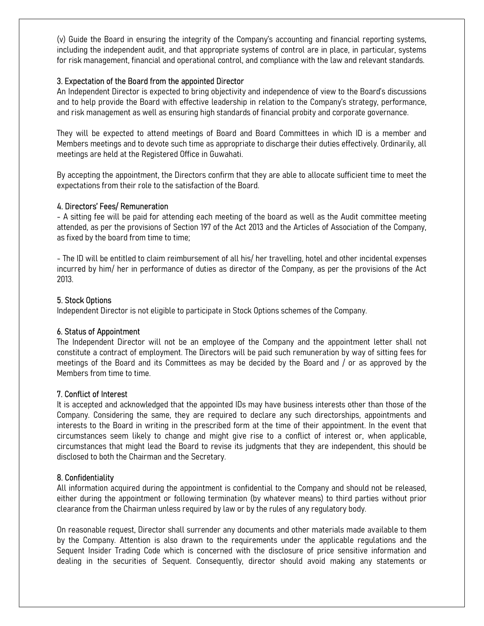(v) Guide the Board in ensuring the integrity of the Company's accounting and financial reporting systems, including the independent audit, and that appropriate systems of control are in place, in particular, systems for risk management, financial and operational control, and compliance with the law and relevant standards.

### 3. Expectation of the Board from the appointed Director

An Independent Director is expected to bring objectivity and independence of view to the Board's discussions and to help provide the Board with effective leadership in relation to the Company's strategy, performance, and risk management as well as ensuring high standards of financial probity and corporate governance.

They will be expected to attend meetings of Board and Board Committees in which ID is a member and Members meetings and to devote such time as appropriate to discharge their duties effectively. Ordinarily, all meetings are held at the Registered Office in Guwahati.

By accepting the appointment, the Directors confirm that they are able to allocate sufficient time to meet the expectations from their role to the satisfaction of the Board.

## 4. Directors' Fees/ Remuneration

- A sitting fee will be paid for attending each meeting of the board as well as the Audit committee meeting attended, as per the provisions of Section 197 of the Act 2013 and the Articles of Association of the Company, as fixed by the board from time to time;

- The ID will be entitled to claim reimbursement of all his/ her travelling, hotel and other incidental expenses incurred by him/ her in performance of duties as director of the Company, as per the provisions of the Act 2013.

## 5. Stock Options

Independent Director is not eligible to participate in Stock Options schemes of the Company.

# 6. Status of Appointment

The Independent Director will not be an employee of the Company and the appointment letter shall not constitute a contract of employment. The Directors will be paid such remuneration by way of sitting fees for meetings of the Board and its Committees as may be decided by the Board and / or as approved by the Members from time to time.

#### 7. Conflict of Interest

It is accepted and acknowledged that the appointed IDs may have business interests other than those of the Company. Considering the same, they are required to declare any such directorships, appointments and interests to the Board in writing in the prescribed form at the time of their appointment. In the event that circumstances seem likely to change and might give rise to a conflict of interest or, when applicable, circumstances that might lead the Board to revise its judgments that they are independent, this should be disclosed to both the Chairman and the Secretary.

#### 8. Confidentiality

All information acquired during the appointment is confidential to the Company and should not be released, either during the appointment or following termination (by whatever means) to third parties without prior clearance from the Chairman unless required by law or by the rules of any regulatory body.

On reasonable request, Director shall surrender any documents and other materials made available to them by the Company. Attention is also drawn to the requirements under the applicable regulations and the Sequent Insider Trading Code which is concerned with the disclosure of price sensitive information and dealing in the securities of Sequent. Consequently, director should avoid making any statements or